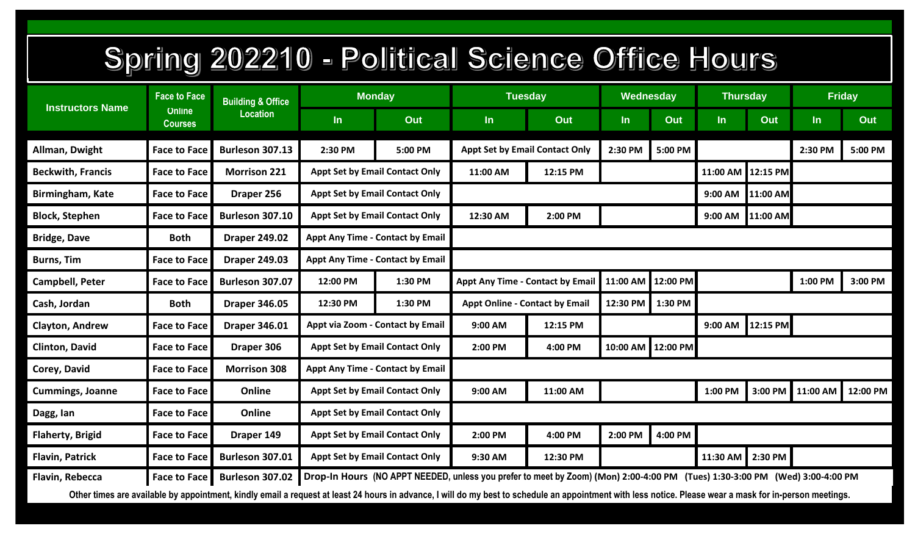## Spring 202210 - Political Science Office Hours

| <b>Instructors Name</b>                                                                                                                                                                                  | <b>Face to Face</b><br><b>Online</b><br><b>Courses</b> | <b>Building &amp; Office</b><br><b>Location</b> | Monday                                  |         | <b>Tuesday</b>                                               |                                       | Wednesday          |                   | <b>Thursday</b>  |          | <b>Friday</b> |          |  |
|----------------------------------------------------------------------------------------------------------------------------------------------------------------------------------------------------------|--------------------------------------------------------|-------------------------------------------------|-----------------------------------------|---------|--------------------------------------------------------------|---------------------------------------|--------------------|-------------------|------------------|----------|---------------|----------|--|
|                                                                                                                                                                                                          |                                                        |                                                 | $\ln$                                   | Out     | In                                                           | Out                                   | In                 | Out               | In               | Out      | $\ln$         | Out      |  |
| Allman, Dwight                                                                                                                                                                                           | <b>Face to Face</b>                                    | <b>Burleson 307.13</b>                          | 2:30 PM                                 | 5:00 PM |                                                              | <b>Appt Set by Email Contact Only</b> | 2:30 PM            | 5:00 PM           |                  |          | 2:30 PM       | 5:00 PM  |  |
| <b>Beckwith, Francis</b>                                                                                                                                                                                 | <b>Face to Face</b>                                    | <b>Morrison 221</b>                             | <b>Appt Set by Email Contact Only</b>   |         | 11:00 AM                                                     | 12:15 PM                              |                    |                   | 11:00 AM         | 12:15 PM |               |          |  |
| <b>Birmingham, Kate</b>                                                                                                                                                                                  | <b>Face to Face</b>                                    | Draper 256                                      | <b>Appt Set by Email Contact Only</b>   |         |                                                              |                                       |                    |                   | 9:00 AM          | 11:00 AM |               |          |  |
| <b>Block, Stephen</b>                                                                                                                                                                                    | <b>Face to Face</b>                                    | Burleson 307.10                                 | <b>Appt Set by Email Contact Only</b>   |         | 12:30 AM                                                     | 2:00 PM                               |                    |                   | 9:00 AM 11:00 AM |          |               |          |  |
| <b>Bridge, Dave</b>                                                                                                                                                                                      | <b>Both</b>                                            | <b>Draper 249.02</b>                            | <b>Appt Any Time - Contact by Email</b> |         |                                                              |                                       |                    |                   |                  |          |               |          |  |
| <b>Burns, Tim</b>                                                                                                                                                                                        | <b>Face to Face</b>                                    | <b>Draper 249.03</b>                            | <b>Appt Any Time - Contact by Email</b> |         |                                                              |                                       |                    |                   |                  |          |               |          |  |
| Campbell, Peter                                                                                                                                                                                          | <b>Face to Face</b>                                    | Burleson 307.07                                 | 12:00 PM                                | 1:30 PM |                                                              | Appt Any Time - Contact by Email      | 11:00 AM 12:00 PM  |                   |                  |          | 1:00 PM       | 3:00 PM  |  |
| Cash, Jordan                                                                                                                                                                                             | <b>Both</b>                                            | <b>Draper 346.05</b>                            | 12:30 PM<br>1:30 PM                     |         | <b>Appt Online - Contact by Email</b><br>12:30 PM<br>1:30 PM |                                       |                    |                   |                  |          |               |          |  |
| <b>Clayton, Andrew</b>                                                                                                                                                                                   | <b>Face to Face</b>                                    | <b>Draper 346.01</b>                            | Appt via Zoom - Contact by Email        |         | 9:00 AM                                                      | 12:15 PM                              |                    |                   | 9:00 AM          | 12:15 PM |               |          |  |
| Clinton, David                                                                                                                                                                                           | <b>Face to Face</b>                                    | Draper 306                                      | <b>Appt Set by Email Contact Only</b>   |         | 2:00 PM                                                      | 4:00 PM                               |                    | 10:00 AM 12:00 PM |                  |          |               |          |  |
| Corey, David                                                                                                                                                                                             | <b>Face to Face</b>                                    | <b>Morrison 308</b>                             | Appt Any Time - Contact by Email        |         |                                                              |                                       |                    |                   |                  |          |               |          |  |
| <b>Cummings, Joanne</b>                                                                                                                                                                                  | <b>Face to Face</b>                                    | Online                                          | <b>Appt Set by Email Contact Only</b>   |         | 9:00 AM                                                      | 11:00 AM                              |                    |                   | 1:00 PM          | 3:00 PM  | 11:00 AM      | 12:00 PM |  |
| Dagg, lan                                                                                                                                                                                                | <b>Face to Face</b>                                    | Online                                          | <b>Appt Set by Email Contact Only</b>   |         |                                                              |                                       |                    |                   |                  |          |               |          |  |
| <b>Flaherty, Brigid</b>                                                                                                                                                                                  | <b>Face to Face</b>                                    | Draper 149                                      | <b>Appt Set by Email Contact Only</b>   |         | 2:00 PM                                                      | 4:00 PM                               | 4:00 PM<br>2:00 PM |                   |                  |          |               |          |  |
| Flavin, Patrick                                                                                                                                                                                          | <b>Face to Face</b>                                    | Burleson 307.01                                 | <b>Appt Set by Email Contact Only</b>   |         | 9:30 AM                                                      | 12:30 PM                              |                    |                   | 11:30 AM         | 2:30 PM  |               |          |  |
| Drop-In Hours (NO APPT NEEDED, unless you prefer to meet by Zoom) (Mon) 2:00-4:00 PM (Tues) 1:30-3:00 PM (Wed) 3:00-4:00 PM<br>Flavin, Rebecca<br>Burleson 307.02<br>Face to Face                        |                                                        |                                                 |                                         |         |                                                              |                                       |                    |                   |                  |          |               |          |  |
| Other times are available by appointment, kindly email a request at least 24 hours in advance, I will do my best to schedule an appointment with less notice. Please wear a mask for in-person meetings. |                                                        |                                                 |                                         |         |                                                              |                                       |                    |                   |                  |          |               |          |  |